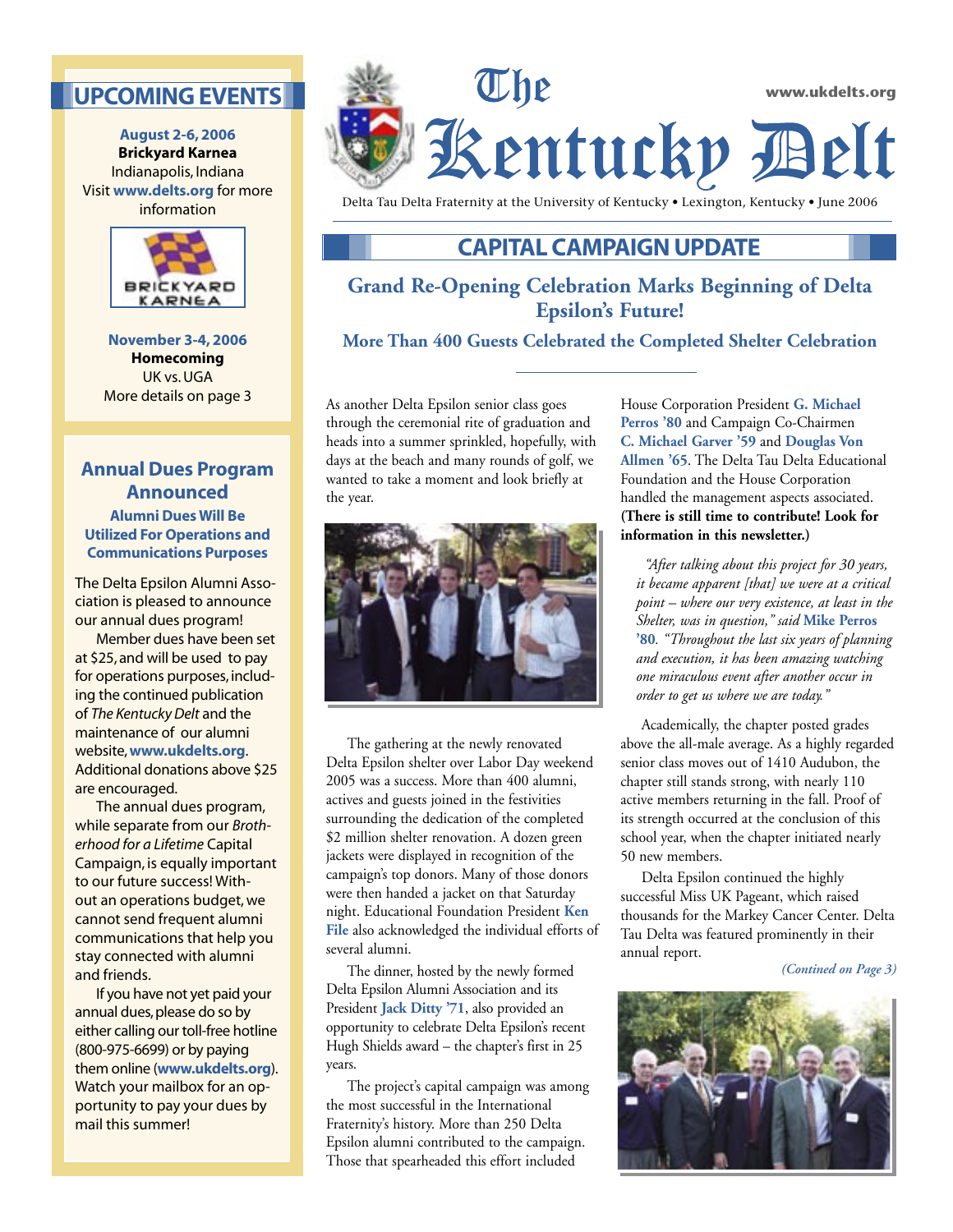# **UPCOMING EVENTS**

**August 2-6, 2006 Brickyard Karnea** Indianapolis, Indiana Visit **www.delts.org** for more information



**November 3-4, 2006 Homecoming** UK vs. UGA More details on page 3

## **Annual Dues Program Announced Alumni Dues Will Be Utilized For Operations and**

The Delta Epsilon Alumni Association is pleased to announce our annual dues program!

**Communications Purposes**

 Member dues have been set at \$25, and will be used to pay for operations purposes, including the continued publication of *The Kentucky Delt* and the maintenance of our alumni website, **www.ukdelts.org**. Additional donations above \$25 are encouraged.

 The annual dues program, while separate from our *Brotherhood for a Lifetime* Capital Campaign, is equally important to our future success! Without an operations budget, we cannot send frequent alumni communications that help you stay connected with alumni and friends.

 If you have not yet paid your annual dues, please do so by either calling our toll-free hotline (800-975-6699) or by paying them online (**www.ukdelts.org**). Watch your mailbox for an opportunity to pay your dues by mail this summer!



Delta Tau Delta Fraternity at the University of Kentucky • Lexington, Kentucky • June 2006

# **CAPITAL CAMPAIGN UPDATE**

# **Grand Re-Opening Celebration Marks Beginning of Delta Epsilon's Future!**

### **More Than 400 Guests Celebrated the Completed Shelter Celebration**

As another Delta Epsilon senior class goes through the ceremonial rite of graduation and heads into a summer sprinkled, hopefully, with days at the beach and many rounds of golf, we wanted to take a moment and look briefly at the year.



 The gathering at the newly renovated Delta Epsilon shelter over Labor Day weekend 2005 was a success. More than 400 alumni, actives and guests joined in the festivities surrounding the dedication of the completed \$2 million shelter renovation. A dozen green jackets were displayed in recognition of the campaign's top donors. Many of those donors were then handed a jacket on that Saturday night. Educational Foundation President **Ken File** also acknowledged the individual efforts of several alumni.

 The dinner, hosted by the newly formed Delta Epsilon Alumni Association and its President **Jack Ditty '71**, also provided an opportunity to celebrate Delta Epsilon's recent Hugh Shields award – the chapter's first in 25 years.

 The project's capital campaign was among the most successful in the International Fraternity's history. More than 250 Delta Epsilon alumni contributed to the campaign. Those that spearheaded this effort included

House Corporation President **G. Michael Perros '80** and Campaign Co-Chairmen **C. Michael Garver '59** and **Douglas Von Allmen '65**. The Delta Tau Delta Educational Foundation and the House Corporation handled the management aspects associated. **(There is still time to contribute! Look for information in this newsletter.)**

*"After talking about this project for 30 years, it became apparent [that] we were at a critical point – where our very existence, at least in the Shelter, was in question," said* **Mike Perros '80***. "Throughout the last six years of planning and execution, it has been amazing watching one miraculous event after another occur in order to get us where we are today."* 

 Academically, the chapter posted grades above the all-male average. As a highly regarded senior class moves out of 1410 Audubon, the chapter still stands strong, with nearly 110 active members returning in the fall. Proof of its strength occurred at the conclusion of this school year, when the chapter initiated nearly 50 new members.

 Delta Epsilon continued the highly successful Miss UK Pageant, which raised thousands for the Markey Cancer Center. Delta Tau Delta was featured prominently in their annual report.

*(Contined on Page 3)*

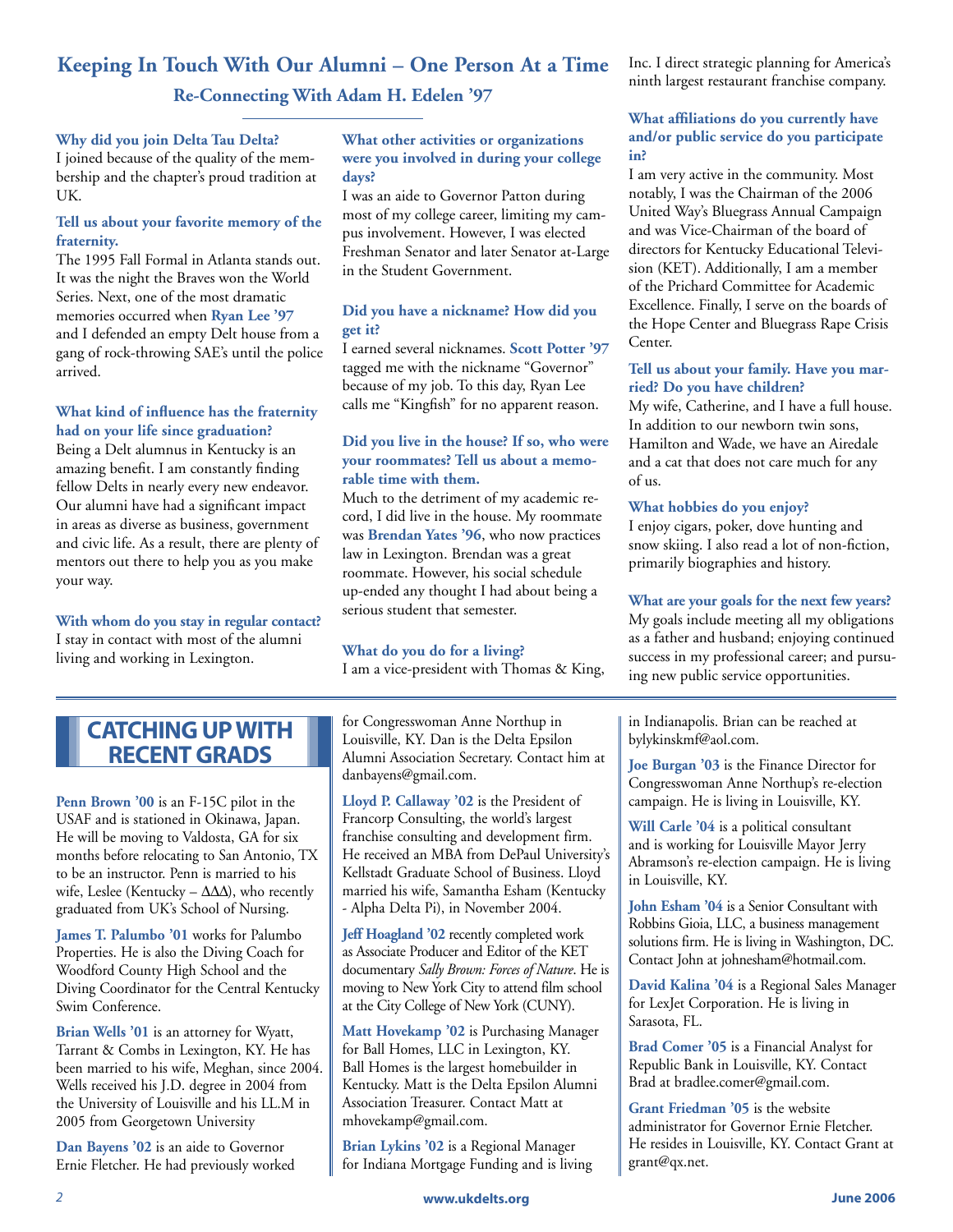# **Keeping In Touch With Our Alumni – One Person At a Time Re-Connecting With Adam H. Edelen '97**

#### **Why did you join Delta Tau Delta?**

I joined because of the quality of the membership and the chapter's proud tradition at UK.

### **Tell us about your favorite memory of the fraternity.**

The 1995 Fall Formal in Atlanta stands out. It was the night the Braves won the World Series. Next, one of the most dramatic memories occurred when **Ryan Lee '97** and I defended an empty Delt house from a gang of rock-throwing SAE's until the police arrived.

#### **What kind of influence has the fraternity had on your life since graduation?**

Being a Delt alumnus in Kentucky is an amazing benefit. I am constantly finding fellow Delts in nearly every new endeavor. Our alumni have had a significant impact in areas as diverse as business, government and civic life. As a result, there are plenty of mentors out there to help you as you make your way.

**With whom do you stay in regular contact?** I stay in contact with most of the alumni living and working in Lexington.

### **What other activities or organizations were you involved in during your college days?**

I was an aide to Governor Patton during most of my college career, limiting my campus involvement. However, I was elected Freshman Senator and later Senator at-Large in the Student Government.

### **Did you have a nickname? How did you get it?**

I earned several nicknames. **Scott Potter '97** tagged me with the nickname "Governor" because of my job. To this day, Ryan Lee calls me "Kingfish" for no apparent reason.

### **Did you live in the house? If so, who were your roommates? Tell us about a memorable time with them.**

Much to the detriment of my academic record, I did live in the house. My roommate was **Brendan Yates '96**, who now practices law in Lexington. Brendan was a great roommate. However, his social schedule up-ended any thought I had about being a serious student that semester.

## **What do you do for a living?**

I am a vice-president with Thomas & King,

# **CATCHING UP WITH RECENT GRADS**

**Penn Brown '00** is an F-15C pilot in the USAF and is stationed in Okinawa, Japan. He will be moving to Valdosta, GA for six months before relocating to San Antonio, TX to be an instructor. Penn is married to his wife, Leslee (Kentucky –  $\Delta\Delta\Delta$ ), who recently graduated from UK's School of Nursing.

**James T. Palumbo '01** works for Palumbo Properties. He is also the Diving Coach for Woodford County High School and the Diving Coordinator for the Central Kentucky Swim Conference.

**Brian Wells '01** is an attorney for Wyatt, Tarrant & Combs in Lexington, KY. He has been married to his wife, Meghan, since 2004. Wells received his J.D. degree in 2004 from the University of Louisville and his LL.M in 2005 from Georgetown University

**Dan Bayens '02** is an aide to Governor Ernie Fletcher. He had previously worked

for Congresswoman Anne Northup in Louisville, KY. Dan is the Delta Epsilon Alumni Association Secretary. Contact him at danbayens@gmail.com.

**Lloyd P. Callaway '02** is the President of Francorp Consulting, the world's largest franchise consulting and development firm. He received an MBA from DePaul University's Kellstadt Graduate School of Business. Lloyd married his wife, Samantha Esham (Kentucky - Alpha Delta Pi), in November 2004.

**Jeff Hoagland '02** recently completed work as Associate Producer and Editor of the KET documentary *Sally Brown: Forces of Nature*. He is moving to New York City to attend film school at the City College of New York (CUNY).

**Matt Hovekamp '02** is Purchasing Manager for Ball Homes, LLC in Lexington, KY. Ball Homes is the largest homebuilder in Kentucky. Matt is the Delta Epsilon Alumni Association Treasurer. Contact Matt at mhovekamp@gmail.com.

**Brian Lykins '02** is a Regional Manager for Indiana Mortgage Funding and is living Inc. I direct strategic planning for America's ninth largest restaurant franchise company.

### **What affiliations do you currently have and/or public service do you participate in?**

I am very active in the community. Most notably, I was the Chairman of the 2006 United Way's Bluegrass Annual Campaign and was Vice-Chairman of the board of directors for Kentucky Educational Television (KET). Additionally, I am a member of the Prichard Committee for Academic Excellence. Finally, I serve on the boards of the Hope Center and Bluegrass Rape Crisis Center.

### **Tell us about your family. Have you married? Do you have children?**

My wife, Catherine, and I have a full house. In addition to our newborn twin sons, Hamilton and Wade, we have an Airedale and a cat that does not care much for any of us.

#### **What hobbies do you enjoy?**

I enjoy cigars, poker, dove hunting and snow skiing. I also read a lot of non-fiction, primarily biographies and history.

### **What are your goals for the next few years?**

My goals include meeting all my obligations as a father and husband; enjoying continued success in my professional career; and pursuing new public service opportunities.

in Indianapolis. Brian can be reached at bylykinskmf@aol.com.

**Joe Burgan '03** is the Finance Director for Congresswoman Anne Northup's re-election campaign. He is living in Louisville, KY.

**Will Carle '04** is a political consultant and is working for Louisville Mayor Jerry Abramson's re-election campaign. He is living in Louisville, KY.

**John Esham '04** is a Senior Consultant with Robbins Gioia, LLC, a business management solutions firm. He is living in Washington, DC. Contact John at johnesham@hotmail.com.

**David Kalina '04** is a Regional Sales Manager for LexJet Corporation. He is living in Sarasota, FL.

**Brad Comer '05** is a Financial Analyst for Republic Bank in Louisville, KY. Contact Brad at bradlee.comer@gmail.com.

**Grant Friedman '05** is the website administrator for Governor Ernie Fletcher. He resides in Louisville, KY. Contact Grant at grant@qx.net.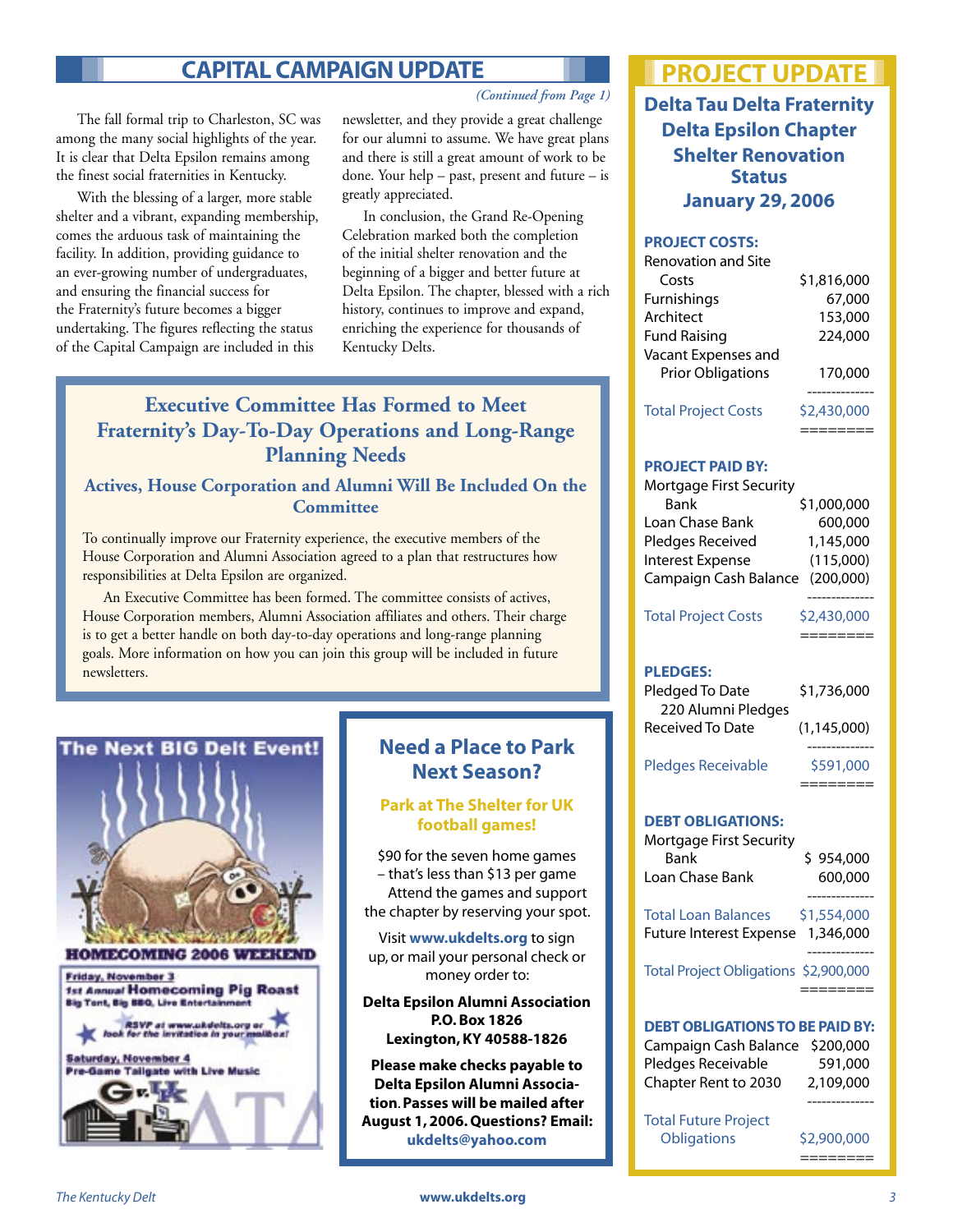# **CAPITAL CAMPAIGN UPDATE**

 The fall formal trip to Charleston, SC was among the many social highlights of the year. It is clear that Delta Epsilon remains among the finest social fraternities in Kentucky.

 With the blessing of a larger, more stable shelter and a vibrant, expanding membership, comes the arduous task of maintaining the facility. In addition, providing guidance to an ever-growing number of undergraduates, and ensuring the financial success for the Fraternity's future becomes a bigger undertaking. The figures reflecting the status of the Capital Campaign are included in this

*(Continued from Page 1)*

newsletter, and they provide a great challenge for our alumni to assume. We have great plans and there is still a great amount of work to be done. Your help – past, present and future – is greatly appreciated.

 In conclusion, the Grand Re-Opening Celebration marked both the completion of the initial shelter renovation and the beginning of a bigger and better future at Delta Epsilon. The chapter, blessed with a rich history, continues to improve and expand, enriching the experience for thousands of Kentucky Delts.

# **Executive Committee Has Formed to Meet Fraternity's Day-To-Day Operations and Long-Range Planning Needs**

## **Actives, House Corporation and Alumni Will Be Included On the Committee**

To continually improve our Fraternity experience, the executive members of the House Corporation and Alumni Association agreed to a plan that restructures how responsibilities at Delta Epsilon are organized.

 An Executive Committee has been formed. The committee consists of actives, House Corporation members, Alumni Association affiliates and others. Their charge is to get a better handle on both day-to-day operations and long-range planning goals. More information on how you can join this group will be included in future newsletters.

# **BIG Delt Event!**





# **Need a Place to Park Next Season?**

### **Park at The Shelter for UK football games!**

\$90 for the seven home games – that's less than \$13 per game Attend the games and support the chapter by reserving your spot.

Visit **www.ukdelts.org** to sign up, or mail your personal check or money order to:

**Delta Epsilon Alumni Association P.O. Box 1826 Lexington, KY 40588-1826**

**Please make checks payable to Delta Epsilon Alumni Association**. **Passes will be mailed after August 1, 2006. Questions? Email: ukdelts@yahoo.com**

# **PROJECT UPDATE**

**Delta Tau Delta Fraternity Delta Epsilon Chapter Shelter Renovation Status January 29, 2006**

#### **PROJECT COSTS:**

| <b>Renovation and Site</b> |             |
|----------------------------|-------------|
| Costs                      | \$1,816,000 |
| Furnishings                | 67,000      |
| Architect                  | 153,000     |
| <b>Fund Raising</b>        | 224,000     |
| Vacant Expenses and        |             |
| <b>Prior Obligations</b>   | 170,000     |
|                            |             |
| <b>Total Project Costs</b> | \$2,430,000 |

========

#### **PROJECT PAID BY:**

| Mortgage First Security         |             |
|---------------------------------|-------------|
| Bank                            | \$1,000,000 |
| Loan Chase Bank                 | 600,000     |
| Pledges Received                | 1,145,000   |
| Interest Expense                | (115,000)   |
| Campaign Cash Balance (200,000) |             |

Total Project Costs \$2,430,000

-------------- ========

#### **PLEDGES:**

| Pledged To Date    | \$1,736,000 |
|--------------------|-------------|
| 220 Alumni Pledges |             |
| Received To Date   | (1.145.000) |
|                    |             |

Pledges Receivable \$591,000

========

## **DEBT OBLIGATIONS:**

| Mortgage First Security<br>Bank<br>I oan Chase Bank          | \$954,000<br>600,000     |
|--------------------------------------------------------------|--------------------------|
| <b>Total Loan Balances</b><br><b>Future Interest Expense</b> | \$1,554,000<br>1,346,000 |
| Total Project Obligations \$2,900,000                        |                          |

### **DEBT OBLIGATIONS TO BE PAID BY:**

| Campaign Cash Balance \$200,000 |           |
|---------------------------------|-----------|
| Pledges Receivable              | 591,000   |
| Chapter Rent to 2030            | 2,109,000 |

Total Future Project Obligations \$2,900,000

========

--------------